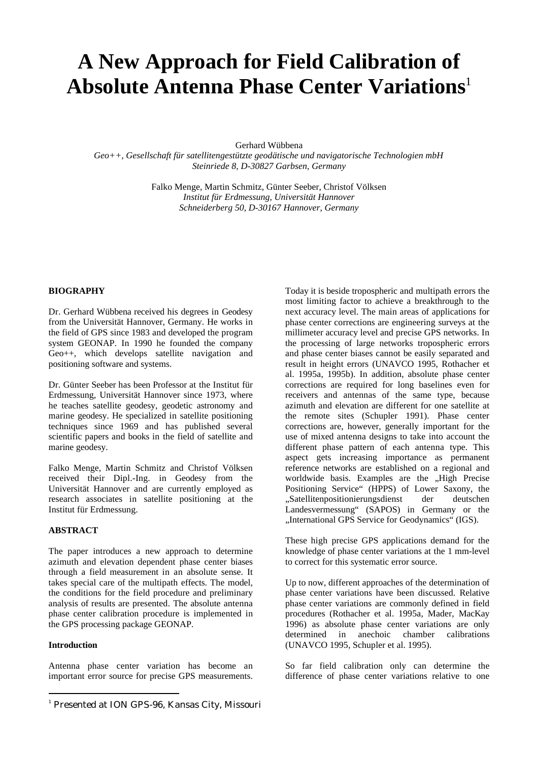# **A New Approach for Field Calibration of Absolute Antenna Phase Center Variations**<sup>1</sup>

Gerhard Wübbena

*Geo++, Gesellschaft für satellitengestützte geodätische und navigatorische Technologien mbH Steinriede 8, D-30827 Garbsen, Germany*

> Falko Menge, Martin Schmitz, Günter Seeber, Christof Völksen *Institut für Erdmessung, Universität Hannover Schneiderberg 50, D-30167 Hannover, Germany*

## **BIOGRAPHY**

Dr. Gerhard Wübbena received his degrees in Geodesy from the Universität Hannover, Germany. He works in the field of GPS since 1983 and developed the program system GEONAP. In 1990 he founded the company Geo++, which develops satellite navigation and positioning software and systems.

Dr. Günter Seeber has been Professor at the Institut für Erdmessung, Universität Hannover since 1973, where he teaches satellite geodesy, geodetic astronomy and marine geodesy. He specialized in satellite positioning techniques since 1969 and has published several scientific papers and books in the field of satellite and marine geodesy.

Falko Menge, Martin Schmitz and Christof Völksen received their Dipl.-Ing. in Geodesy from the Universität Hannover and are currently employed as research associates in satellite positioning at the Institut für Erdmessung.

# **ABSTRACT**

The paper introduces a new approach to determine azimuth and elevation dependent phase center biases through a field measurement in an absolute sense. It takes special care of the multipath effects. The model, the conditions for the field procedure and preliminary analysis of results are presented. The absolute antenna phase center calibration procedure is implemented in the GPS processing package GEONAP.

### **Introduction**

Antenna phase center variation has become an important error source for precise GPS measurements. Today it is beside tropospheric and multipath errors the most limiting factor to achieve a breakthrough to the next accuracy level. The main areas of applications for phase center corrections are engineering surveys at the millimeter accuracy level and precise GPS networks. In the processing of large networks tropospheric errors and phase center biases cannot be easily separated and result in height errors (UNAVCO 1995, Rothacher et al. 1995a, 1995b). In addition, absolute phase center corrections are required for long baselines even for receivers and antennas of the same type, because azimuth and elevation are different for one satellite at the remote sites (Schupler 1991). Phase center corrections are, however, generally important for the use of mixed antenna designs to take into account the different phase pattern of each antenna type. This aspect gets increasing importance as permanent reference networks are established on a regional and worldwide basis. Examples are the "High Precise Positioning Service" (HPPS) of Lower Saxony, the "Satellitenpositionierungsdienst der deutschen Landesvermessung" (SAPOS) in Germany or the "International GPS Service for Geodynamics" (IGS).

These high precise GPS applications demand for the knowledge of phase center variations at the 1 mm-level to correct for this systematic error source.

Up to now, different approaches of the determination of phase center variations have been discussed. Relative phase center variations are commonly defined in field procedures (Rothacher et al. 1995a, Mader, MacKay 1996) as absolute phase center variations are only determined in anechoic chamber calibrations (UNAVCO 1995, Schupler et al. 1995).

So far field calibration only can determine the difference of phase center variations relative to one

 $\frac{1}{1}$ <sup>1</sup> Presented at ION GPS-96, Kansas City, Missouri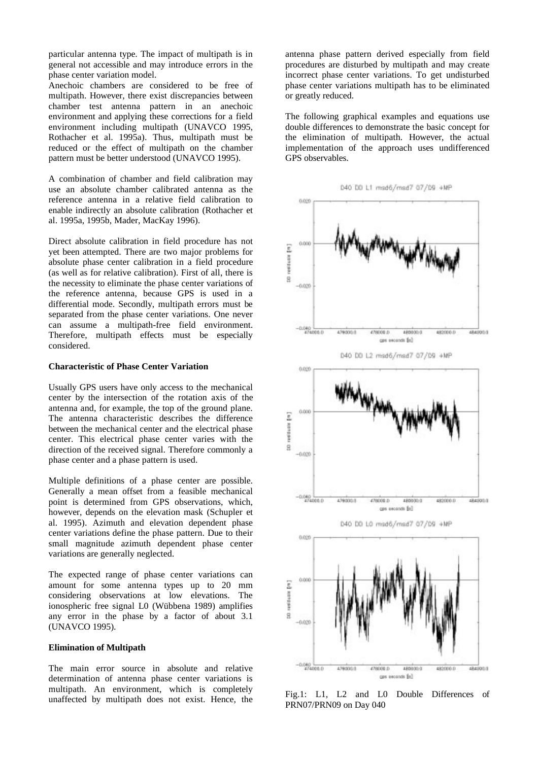particular antenna type. The impact of multipath is in general not accessible and may introduce errors in the phase center variation model.

Anechoic chambers are considered to be free of multipath. However, there exist discrepancies between chamber test antenna pattern in an anechoic environment and applying these corrections for a field environment including multipath (UNAVCO 1995, Rothacher et al. 1995a). Thus, multipath must be reduced or the effect of multipath on the chamber pattern must be better understood (UNAVCO 1995).

A combination of chamber and field calibration may use an absolute chamber calibrated antenna as the reference antenna in a relative field calibration to enable indirectly an absolute calibration (Rothacher et al. 1995a, 1995b, Mader, MacKay 1996).

Direct absolute calibration in field procedure has not yet been attempted. There are two major problems for absolute phase center calibration in a field procedure (as well as for relative calibration). First of all, there is the necessity to eliminate the phase center variations of the reference antenna, because GPS is used in a differential mode. Secondly, multipath errors must be separated from the phase center variations. One never can assume a multipath-free field environment. Therefore, multipath effects must be especially considered.

#### **Characteristic of Phase Center Variation**

Usually GPS users have only access to the mechanical center by the intersection of the rotation axis of the antenna and, for example, the top of the ground plane. The antenna characteristic describes the difference between the mechanical center and the electrical phase center. This electrical phase center varies with the direction of the received signal. Therefore commonly a phase center and a phase pattern is used.

Multiple definitions of a phase center are possible. Generally a mean offset from a feasible mechanical point is determined from GPS observations, which, however, depends on the elevation mask (Schupler et al. 1995). Azimuth and elevation dependent phase center variations define the phase pattern. Due to their small magnitude azimuth dependent phase center variations are generally neglected.

The expected range of phase center variations can amount for some antenna types up to 20 mm considering observations at low elevations. The ionospheric free signal L0 (Wübbena 1989) amplifies any error in the phase by a factor of about 3.1 (UNAVCO 1995).

# **Elimination of Multipath**

The main error source in absolute and relative determination of antenna phase center variations is multipath. An environment, which is completely unaffected by multipath does not exist. Hence, the antenna phase pattern derived especially from field procedures are disturbed by multipath and may create incorrect phase center variations. To get undisturbed phase center variations multipath has to be eliminated or greatly reduced.

The following graphical examples and equations use double differences to demonstrate the basic concept for the elimination of multipath. However, the actual implementation of the approach uses undifferenced GPS observables.



Fig.1: L1, L2 and L0 Double Differences of PRN07/PRN09 on Day 040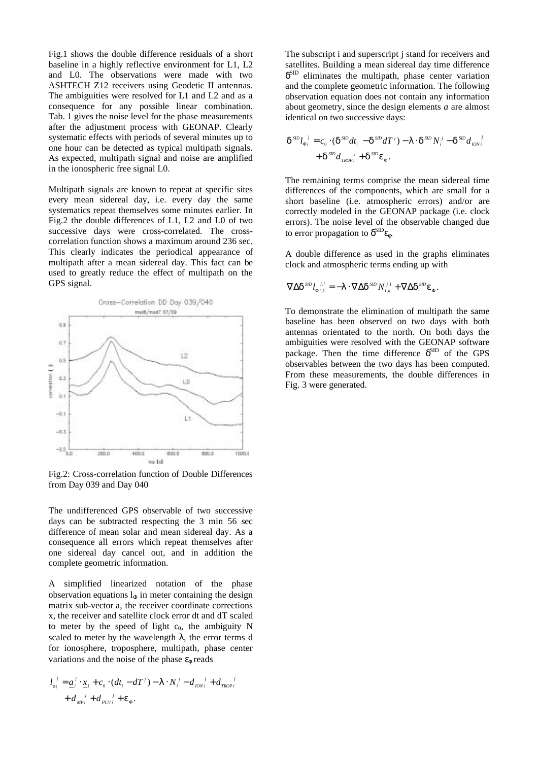Fig.1 shows the double difference residuals of a short baseline in a highly reflective environment for L1, L2 and L0. The observations were made with two ASHTECH Z12 receivers using Geodetic II antennas. The ambiguities were resolved for L1 and L2 and as a consequence for any possible linear combination. Tab. 1 gives the noise level for the phase measurements after the adjustment process with GEONAP. Clearly systematic effects with periods of several minutes up to one hour can be detected as typical multipath signals. As expected, multipath signal and noise are amplified in the ionospheric free signal L0.

Multipath signals are known to repeat at specific sites every mean sidereal day, i.e. every day the same systematics repeat themselves some minutes earlier. In Fig.2 the double differences of L1, L2 and L0 of two successive days were cross-correlated. The crosscorrelation function shows a maximum around 236 sec. This clearly indicates the periodical appearance of multipath after a mean sidereal day. This fact can be used to greatly reduce the effect of multipath on the GPS signal.



Fig.2: Cross-correlation function of Double Differences from Day 039 and Day 040

The undifferenced GPS observable of two successive days can be subtracted respecting the 3 min 56 sec difference of mean solar and mean sidereal day. As a consequence all errors which repeat themselves after one sidereal day cancel out, and in addition the complete geometric information.

A simplified linearized notation of the phase observation equations  $l_{\Phi}$  in meter containing the design matrix sub-vector a, the receiver coordinate corrections x, the receiver and satellite clock error dt and dT scaled to meter by the speed of light  $c_0$ , the ambiguity N scaled to meter by the wavelength  $\lambda$ , the error terms d for ionosphere, troposphere, multipath, phase center variations and the noise of the phase  $\epsilon_{\phi}$  reads

$$
l_{\phi_i}^j = \underline{a}_i^j \cdot \underline{x}_i + c_0 \cdot (dt_i - dT^j) - \lambda \cdot N_i^j - d_{\text{10N}i}^j + d_{\text{10N}i}^j
$$
  
+ 
$$
d_{\text{MP}i}^j + d_{\text{PCV}i}^j + \varepsilon_{\phi}.
$$

The subscript i and superscript j stand for receivers and satellites. Building a mean sidereal day time difference  $\delta^{\text{SD}}$  eliminates the multipath, phase center variation and the complete geometric information. The following observation equation does not contain any information about geometry, since the design elements *a* are almost identical on two successive days:

$$
\delta^{SD} l_{\Phi_i}^{\ \ j} = c_0 \cdot (\delta^{SD} dt_i - \delta^{SD} dT^j) - \lambda \cdot \delta^{SD} N_i^{\ j} - \delta^{SD} d_{ION_i}^{\ \ j} + \delta^{SD} d_{TRO_i}^{\ \ j} + \delta^{SD} \varepsilon_{\Phi}.
$$

The remaining terms comprise the mean sidereal time differences of the components, which are small for a short baseline (i.e. atmospheric errors) and/or are correctly modeled in the GEONAP package (i.e. clock errors). The noise level of the observable changed due to error propagation to  $\delta^{\text{SID}}\epsilon_{\phi}$ .

A double difference as used in the graphs eliminates clock and atmospheric terms ending up with

$$
\nabla\Delta\delta^{\,\rm SID} l_{\Phi_{i,k}}^{\quad \ \ j,l}=-\lambda\cdot\nabla\Delta\delta^{\,\rm SID}N_{i,k}^{\;\; j,l}+\nabla\Delta\delta^{\,\rm SID}\epsilon_\Phi.
$$

To demonstrate the elimination of multipath the same baseline has been observed on two days with both antennas orientated to the north. On both days the ambiguities were resolved with the GEONAP software package. Then the time difference  $\delta^{\text{SD}}$  of the GPS observables between the two days has been computed. From these measurements, the double differences in Fig. 3 were generated.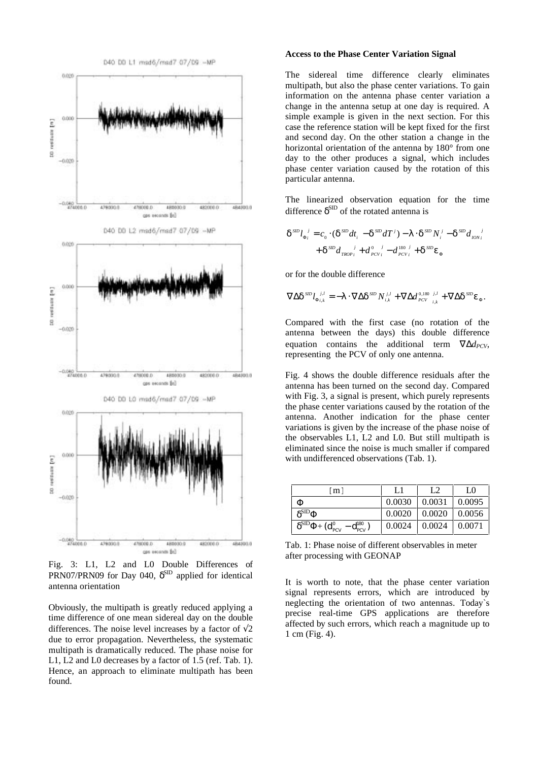

Fig. 3: L1, L2 and L0 Double Differences of PRN07/PRN09 for Day 040,  $\delta^{\text{SD}}$  applied for identical antenna orientation

Obviously, the multipath is greatly reduced applying a time difference of one mean sidereal day on the double differences. The noise level increases by a factor of  $\sqrt{2}$ due to error propagation. Nevertheless, the systematic multipath is dramatically reduced. The phase noise for L1, L2 and L0 decreases by a factor of 1.5 (ref. Tab. 1). Hence, an approach to eliminate multipath has been found.

#### **Access to the Phase Center Variation Signal**

The sidereal time difference clearly eliminates multipath, but also the phase center variations. To gain information on the antenna phase center variation a change in the antenna setup at one day is required. A simple example is given in the next section. For this case the reference station will be kept fixed for the first and second day. On the other station a change in the horizontal orientation of the antenna by 180° from one day to the other produces a signal, which includes phase center variation caused by the rotation of this particular antenna.

The linearized observation equation for the time difference  $\delta^{\text{SID}}$  of the rotated antenna is

$$
\delta^{SD} l_{\Phi_i}^{\ \ j} = c_0 \cdot (\delta^{SD} dt_i - \delta^{SD} dT^j) - \lambda \cdot \delta^{SD} N_i^{\ j} - \delta^{SD} d_{JON_i}^{\ \ j}
$$

$$
+ \delta^{SD} d_{TROP_i}^{\ \ j} + d_{PCVi}^{\ 0} - d_{PCVi}^{\ 180 \ j} + \delta^{SD} \varepsilon_{\Phi}
$$

or for the double difference

$$
\nabla \Delta \delta^{SD} l_{\Phi i,k}^{j,l} = -\lambda \cdot \nabla \Delta \delta^{SD} N_{i,k}^{j,l} + \nabla \Delta d_{PCV}^{0,180} {j,l \over l,k} + \nabla \Delta \delta^{SD} \varepsilon_{\Phi}.
$$

Compared with the first case (no rotation of the antenna between the days) this double difference equation contains the additional term  $\nabla \Delta d_{PCV}$ , representing the PCV of only one antenna.

Fig. 4 shows the double difference residuals after the antenna has been turned on the second day. Compared with Fig. 3, a signal is present, which purely represents the phase center variations caused by the rotation of the antenna. Another indication for the phase center variations is given by the increase of the phase noise of the observables L1, L2 and L0. But still multipath is eliminated since the noise is much smaller if compared with undifferenced observations (Tab. 1).

| m l                                                                                                 | IJ     | L2     | LΩ     |
|-----------------------------------------------------------------------------------------------------|--------|--------|--------|
| Φ                                                                                                   | 0.0030 | 0.0031 | 0.0095 |
| $\delta^{\rm SID}\Phi$                                                                              | 0.0020 | 0.0020 | 0.0056 |
| $\delta^{\text{SID}}\Phi\text{+}(\mathbf{d}_{\text{PCV}}^0 - \mathbf{d}_{\text{PCV}}^{\text{180}})$ | 0.0024 | 0.0024 | 0.0071 |

Tab. 1: Phase noise of different observables in meter after processing with GEONAP

It is worth to note, that the phase center variation signal represents errors, which are introduced by neglecting the orientation of two antennas. Today`s precise real-time GPS applications are therefore affected by such errors, which reach a magnitude up to 1 cm (Fig. 4).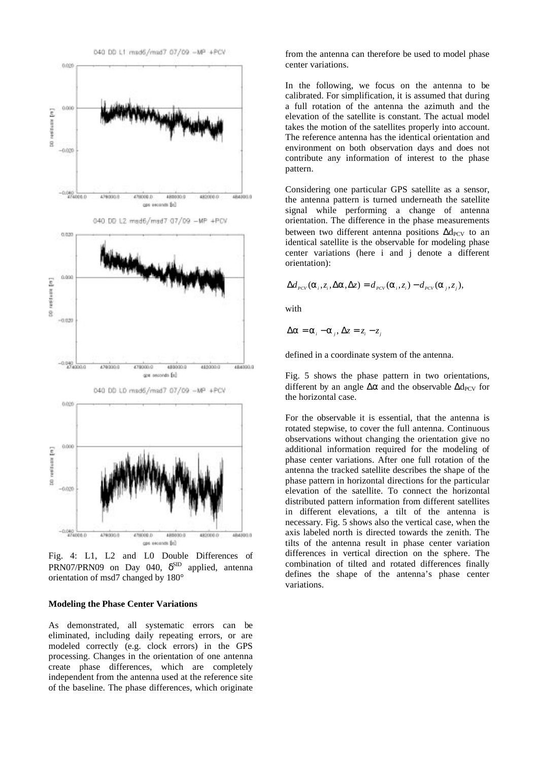

Fig. 4: L1, L2 and L0 Double Differences of PRN07/PRN09 on Day 040,  $\delta^{\text{SID}}$  applied, antenna orientation of msd7 changed by 180°

#### **Modeling the Phase Center Variations**

As demonstrated, all systematic errors can be eliminated, including daily repeating errors, or are modeled correctly (e.g. clock errors) in the GPS processing. Changes in the orientation of one antenna create phase differences, which are completely independent from the antenna used at the reference site of the baseline. The phase differences, which originate

from the antenna can therefore be used to model phase center variations.

In the following, we focus on the antenna to be calibrated. For simplification, it is assumed that during a full rotation of the antenna the azimuth and the elevation of the satellite is constant. The actual model takes the motion of the satellites properly into account. The reference antenna has the identical orientation and environment on both observation days and does not contribute any information of interest to the phase pattern.

Considering one particular GPS satellite as a sensor, the antenna pattern is turned underneath the satellite signal while performing a change of antenna orientation. The difference in the phase measurements between two different antenna positions  $\Delta d_{PCV}$  to an identical satellite is the observable for modeling phase center variations (here i and j denote a different orientation):

$$
\Delta d_{\text{PCV}}(\alpha_i, z_i, \Delta \alpha, \Delta z) = d_{\text{PCV}}(\alpha_i, z_i) - d_{\text{PCV}}(\alpha_j, z_j),
$$

with

$$
\Delta \alpha = \alpha_i - \alpha_j, \Delta z = z_i - z_j
$$

defined in a coordinate system of the antenna.

Fig. 5 shows the phase pattern in two orientations, different by an angle  $\Delta \alpha$  and the observable  $\Delta d_{PCV}$  for the horizontal case.

For the observable it is essential, that the antenna is rotated stepwise, to cover the full antenna. Continuous observations without changing the orientation give no additional information required for the modeling of phase center variations. After one full rotation of the antenna the tracked satellite describes the shape of the phase pattern in horizontal directions for the particular elevation of the satellite. To connect the horizontal distributed pattern information from different satellites in different elevations, a tilt of the antenna is necessary. Fig. 5 shows also the vertical case, when the axis labeled north is directed towards the zenith. The tilts of the antenna result in phase center variation differences in vertical direction on the sphere. The combination of tilted and rotated differences finally defines the shape of the antenna's phase center variations.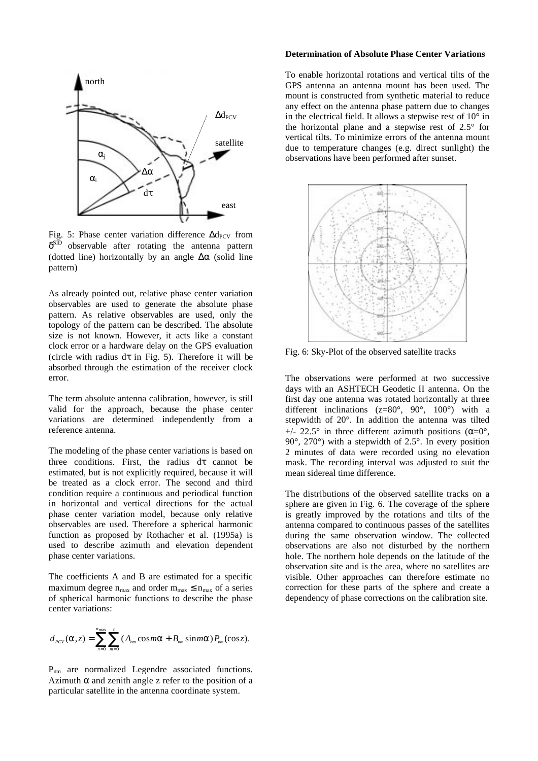

Fig. 5: Phase center variation difference  $\Delta d_{PCV}$  from  $\delta^{\text{SID}}$  observable after rotating the antenna pattern (dotted line) horizontally by an angle  $\Delta\alpha$  (solid line pattern)

As already pointed out, relative phase center variation observables are used to generate the absolute phase pattern. As relative observables are used, only the topology of the pattern can be described. The absolute size is not known. However, it acts like a constant clock error or a hardware delay on the GPS evaluation (circle with radius  $d\tau$  in Fig. 5). Therefore it will be absorbed through the estimation of the receiver clock error.

The term absolute antenna calibration, however, is still valid for the approach, because the phase center variations are determined independently from a reference antenna.

The modeling of the phase center variations is based on three conditions. First, the radius dτ cannot be estimated, but is not explicitly required, because it will be treated as a clock error. The second and third condition require a continuous and periodical function in horizontal and vertical directions for the actual phase center variation model, because only relative observables are used. Therefore a spherical harmonic function as proposed by Rothacher et al. (1995a) is used to describe azimuth and elevation dependent phase center variations.

The coefficients A and B are estimated for a specific maximum degree  $n_{max}$  and order  $m_{max} \le n_{max}$  of a series of spherical harmonic functions to describe the phase center variations:

$$
d_{_{PCV}}(\alpha,z)=\sum_{n=0}^{n_{\text{max}}}\sum_{m=0}^{n}(A_{_{nm}}\cos m\alpha+B_{_{nm}}\sin m\alpha)P_{_{nm}}(\cos z).
$$

P<sub>nm</sub> are normalized Legendre associated functions. Azimuth  $\alpha$  and zenith angle z refer to the position of a particular satellite in the antenna coordinate system.

# **Determination of Absolute Phase Center Variations**

To enable horizontal rotations and vertical tilts of the GPS antenna an antenna mount has been used. The mount is constructed from synthetic material to reduce any effect on the antenna phase pattern due to changes in the electrical field. It allows a stepwise rest of  $10^{\circ}$  in the horizontal plane and a stepwise rest of 2.5° for vertical tilts. To minimize errors of the antenna mount due to temperature changes (e.g. direct sunlight) the observations have been performed after sunset.



Fig. 6: Sky-Plot of the observed satellite tracks

The observations were performed at two successive days with an ASHTECH Geodetic II antenna. On the first day one antenna was rotated horizontally at three different inclinations ( $z=80^\circ$ ,  $90^\circ$ ,  $100^\circ$ ) with a stepwidth of 20°. In addition the antenna was tilted  $+/- 22.5^{\circ}$  in three different azimuth positions ( $\alpha = 0^{\circ}$ ).  $90^\circ$ ,  $270^\circ$ ) with a stepwidth of  $2.5^\circ$ . In every position 2 minutes of data were recorded using no elevation mask. The recording interval was adjusted to suit the mean sidereal time difference.

The distributions of the observed satellite tracks on a sphere are given in Fig. 6. The coverage of the sphere is greatly improved by the rotations and tilts of the antenna compared to continuous passes of the satellites during the same observation window. The collected observations are also not disturbed by the northern hole. The northern hole depends on the latitude of the observation site and is the area, where no satellites are visible. Other approaches can therefore estimate no correction for these parts of the sphere and create a dependency of phase corrections on the calibration site.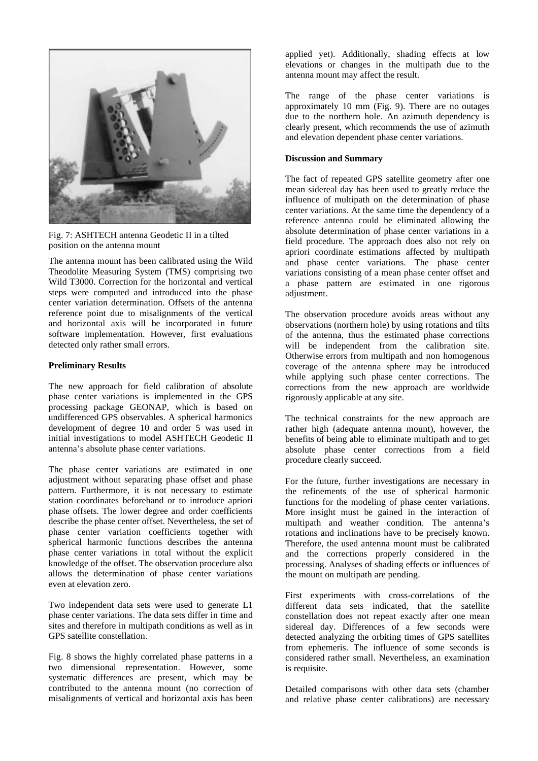

Fig. 7: ASHTECH antenna Geodetic II in a tilted position on the antenna mount

The antenna mount has been calibrated using the Wild Theodolite Measuring System (TMS) comprising two Wild T3000. Correction for the horizontal and vertical steps were computed and introduced into the phase center variation determination. Offsets of the antenna reference point due to misalignments of the vertical and horizontal axis will be incorporated in future software implementation. However, first evaluations detected only rather small errors.

## **Preliminary Results**

The new approach for field calibration of absolute phase center variations is implemented in the GPS processing package GEONAP, which is based on undifferenced GPS observables. A spherical harmonics development of degree 10 and order 5 was used in initial investigations to model ASHTECH Geodetic II antenna's absolute phase center variations.

The phase center variations are estimated in one adjustment without separating phase offset and phase pattern. Furthermore, it is not necessary to estimate station coordinates beforehand or to introduce apriori phase offsets. The lower degree and order coefficients describe the phase center offset. Nevertheless, the set of phase center variation coefficients together with spherical harmonic functions describes the antenna phase center variations in total without the explicit knowledge of the offset. The observation procedure also allows the determination of phase center variations even at elevation zero.

Two independent data sets were used to generate L1 phase center variations. The data sets differ in time and sites and therefore in multipath conditions as well as in GPS satellite constellation.

Fig. 8 shows the highly correlated phase patterns in a two dimensional representation. However, some systematic differences are present, which may be contributed to the antenna mount (no correction of misalignments of vertical and horizontal axis has been applied yet). Additionally, shading effects at low elevations or changes in the multipath due to the antenna mount may affect the result.

The range of the phase center variations is approximately 10 mm (Fig. 9). There are no outages due to the northern hole. An azimuth dependency is clearly present, which recommends the use of azimuth and elevation dependent phase center variations.

# **Discussion and Summary**

The fact of repeated GPS satellite geometry after one mean sidereal day has been used to greatly reduce the influence of multipath on the determination of phase center variations. At the same time the dependency of a reference antenna could be eliminated allowing the absolute determination of phase center variations in a field procedure. The approach does also not rely on apriori coordinate estimations affected by multipath and phase center variations. The phase center variations consisting of a mean phase center offset and a phase pattern are estimated in one rigorous adjustment.

The observation procedure avoids areas without any observations (northern hole) by using rotations and tilts of the antenna, thus the estimated phase corrections will be independent from the calibration site. Otherwise errors from multipath and non homogenous coverage of the antenna sphere may be introduced while applying such phase center corrections. The corrections from the new approach are worldwide rigorously applicable at any site.

The technical constraints for the new approach are rather high (adequate antenna mount), however, the benefits of being able to eliminate multipath and to get absolute phase center corrections from a field procedure clearly succeed.

For the future, further investigations are necessary in the refinements of the use of spherical harmonic functions for the modeling of phase center variations. More insight must be gained in the interaction of multipath and weather condition. The antenna's rotations and inclinations have to be precisely known. Therefore, the used antenna mount must be calibrated and the corrections properly considered in the processing. Analyses of shading effects or influences of the mount on multipath are pending.

First experiments with cross-correlations of the different data sets indicated, that the satellite constellation does not repeat exactly after one mean sidereal day. Differences of a few seconds were detected analyzing the orbiting times of GPS satellites from ephemeris. The influence of some seconds is considered rather small. Nevertheless, an examination is requisite.

Detailed comparisons with other data sets (chamber and relative phase center calibrations) are necessary